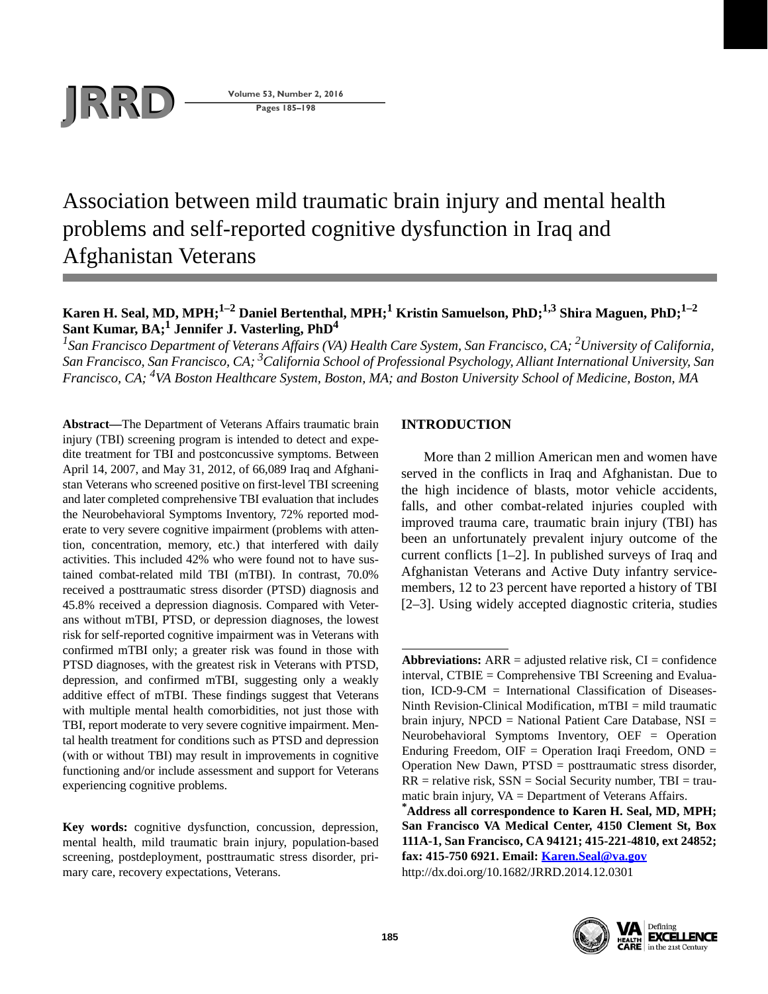

**Pages 185–198**

# Association between mild traumatic brain injury and mental health problems and self-reported cognitive dysfunction in Iraq and Afghanistan Veterans

# Karen H. Seal, MD, MPH;<sup>1–2</sup> Daniel Bertenthal, MPH;<sup>1</sup> Kristin Samuelson, PhD;<sup>1,3</sup> Shira Maguen, PhD;<sup>1–2</sup> **Sant Kumar, BA;1 Jennifer J. Vasterling, PhD4**

*1San Francisco Department of Veterans Affairs (VA) Health Care System, San Francisco, CA; 2 University of California, San Francisco, San Francisco, CA; 3California School of Professional Psychology, Alliant International University, San Francisco, CA; 4 VA Boston Healthcare System, Boston, MA; and Boston University School of Medicine, Boston, MA*

**Abstract—**The Department of Veterans Affairs traumatic brain injury (TBI) screening program is intended to detect and expedite treatment for TBI and postconcussive symptoms. Between April 14, 2007, and May 31, 2012, of 66,089 Iraq and Afghanistan Veterans who screened positive on first-level TBI screening and later completed comprehensive TBI evaluation that includes the Neurobehavioral Symptoms Inventory, 72% reported moderate to very severe cognitive impairment (problems with attention, concentration, memory, etc.) that interfered with daily activities. This included 42% who were found not to have sustained combat-related mild TBI (mTBI). In contrast, 70.0% received a posttraumatic stress disorder (PTSD) diagnosis and 45.8% received a depression diagnosis. Compared with Veterans without mTBI, PTSD, or depression diagnoses, the lowest risk for self-reported cognitive impairment was in Veterans with confirmed mTBI only; a greater risk was found in those with PTSD diagnoses, with the greatest risk in Veterans with PTSD, depression, and confirmed mTBI, suggesting only a weakly additive effect of mTBI. These findings suggest that Veterans with multiple mental health comorbidities, not just those with TBI, report moderate to very severe cognitive impairment. Mental health treatment for conditions such as PTSD and depression (with or without TBI) may result in improvements in cognitive functioning and/or include assessment and support for Veterans experiencing cognitive problems.

**Key words:** cognitive dysfunction, concussion, depression, mental health, mild traumatic brain injury, population-based screening, postdeployment, posttraumatic stress disorder, primary care, recovery expectations, Veterans.

# **INTRODUCTION**

More than 2 million American men and women have served in the conflicts in Iraq and Afghanistan. Due to the high incidence of blasts, motor vehicle accidents, falls, and other combat-related injuries coupled with improved trauma care, traumatic brain injury (TBI) has been an unfortunately prevalent injury outcome of the current conflicts [1–2]. In published surveys of Iraq and Afghanistan Veterans and Active Duty infantry servicemembers, 12 to 23 percent have reported a history of TBI [2–3]. Using widely accepted diagnostic criteria, studies

http://dx.doi.org/10.1682/JRRD.2014.12.0301



**Abbreviations:**  $ARR =$  adjusted relative risk,  $CI =$  confidence interval, CTBIE = Comprehensive TBI Screening and Evaluation, ICD-9-CM = International Classification of Diseases-Ninth Revision-Clinical Modification, mTBI = mild traumatic brain injury, NPCD = National Patient Care Database, NSI = Neurobehavioral Symptoms Inventory, OEF = Operation Enduring Freedom,  $OIF = Operation Iraqi Freedom$ ,  $OND =$ Operation New Dawn, PTSD = posttraumatic stress disorder,  $RR =$  relative risk,  $SSN =$  Social Security number, TBI = traumatic brain injury, VA = Department of Veterans Affairs.

**<sup>\*</sup> Address all correspondence to Karen H. Seal, MD, MPH; San Francisco VA Medical Center, 4150 Clement St, Box 111A-1, San Francisco, CA 94121; 415-221-4810, ext 24852; fax: 415-750 6921. Email: [Karen.Seal@va.gov](mailto:Karen.Seal@va.gov)**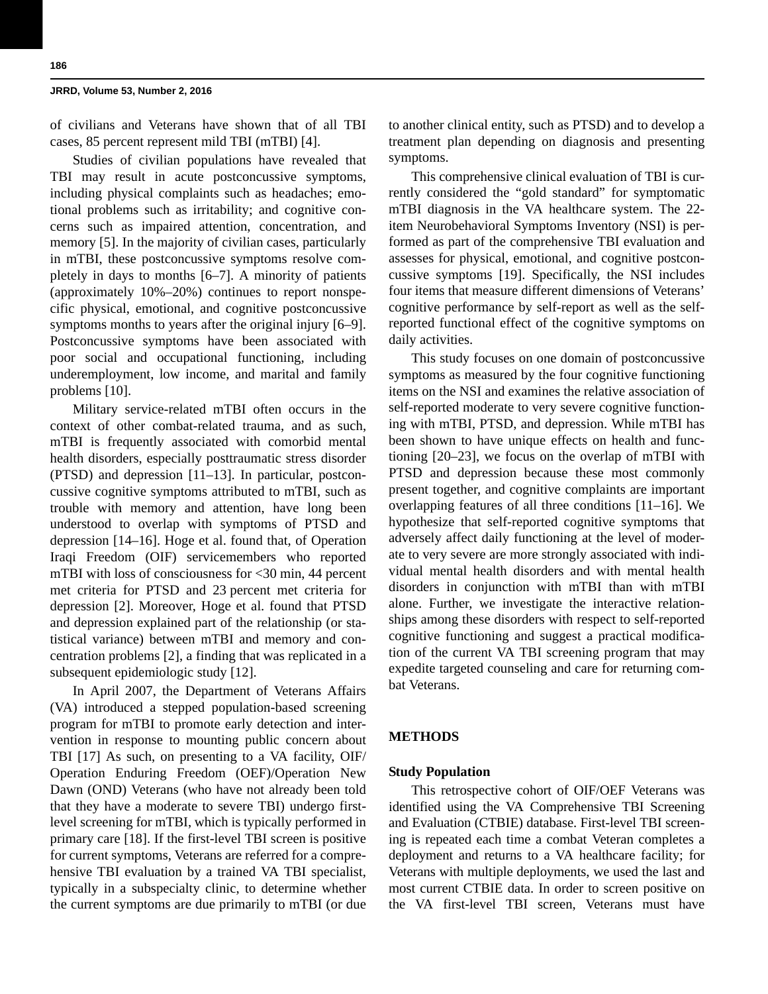of civilians and Veterans have shown that of all TBI cases, 85 percent represent mild TBI (mTBI) [4].

Studies of civilian populations have revealed that TBI may result in acute postconcussive symptoms, including physical complaints such as headaches; emotional problems such as irritability; and cognitive concerns such as impaired attention, concentration, and memory [5]. In the majority of civilian cases, particularly in mTBI, these postconcussive symptoms resolve completely in days to months [6–7]. A minority of patients (approximately 10%–20%) continues to report nonspecific physical, emotional, and cognitive postconcussive symptoms months to years after the original injury [6–9]. Postconcussive symptoms have been associated with poor social and occupational functioning, including underemployment, low income, and marital and family problems [10].

Military service-related mTBI often occurs in the context of other combat-related trauma, and as such, mTBI is frequently associated with comorbid mental health disorders, especially posttraumatic stress disorder (PTSD) and depression [11–13]. In particular, postconcussive cognitive symptoms attributed to mTBI, such as trouble with memory and attention, have long been understood to overlap with symptoms of PTSD and depression [14–16]. Hoge et al. found that, of Operation Iraqi Freedom (OIF) servicemembers who reported mTBI with loss of consciousness for <30 min, 44 percent met criteria for PTSD and 23 percent met criteria for depression [2]. Moreover, Hoge et al. found that PTSD and depression explained part of the relationship (or statistical variance) between mTBI and memory and concentration problems [2], a finding that was replicated in a subsequent epidemiologic study [12].

In April 2007, the Department of Veterans Affairs (VA) introduced a stepped population-based screening program for mTBI to promote early detection and intervention in response to mounting public concern about TBI [17] As such, on presenting to a VA facility, OIF/ Operation Enduring Freedom (OEF)/Operation New Dawn (OND) Veterans (who have not already been told that they have a moderate to severe TBI) undergo firstlevel screening for mTBI, which is typically performed in primary care [18]. If the first-level TBI screen is positive for current symptoms, Veterans are referred for a comprehensive TBI evaluation by a trained VA TBI specialist, typically in a subspecialty clinic, to determine whether the current symptoms are due primarily to mTBI (or due to another clinical entity, such as PTSD) and to develop a treatment plan depending on diagnosis and presenting symptoms.

This comprehensive clinical evaluation of TBI is currently considered the "gold standard" for symptomatic mTBI diagnosis in the VA healthcare system. The 22 item Neurobehavioral Symptoms Inventory (NSI) is performed as part of the comprehensive TBI evaluation and assesses for physical, emotional, and cognitive postconcussive symptoms [19]. Specifically, the NSI includes four items that measure different dimensions of Veterans' cognitive performance by self-report as well as the selfreported functional effect of the cognitive symptoms on daily activities.

This study focuses on one domain of postconcussive symptoms as measured by the four cognitive functioning items on the NSI and examines the relative association of self-reported moderate to very severe cognitive functioning with mTBI, PTSD, and depression. While mTBI has been shown to have unique effects on health and functioning [20–23], we focus on the overlap of mTBI with PTSD and depression because these most commonly present together, and cognitive complaints are important overlapping features of all three conditions [11–16]. We hypothesize that self-reported cognitive symptoms that adversely affect daily functioning at the level of moderate to very severe are more strongly associated with individual mental health disorders and with mental health disorders in conjunction with mTBI than with mTBI alone. Further, we investigate the interactive relationships among these disorders with respect to self-reported cognitive functioning and suggest a practical modification of the current VA TBI screening program that may expedite targeted counseling and care for returning combat Veterans.

## **METHODS**

## **Study Population**

This retrospective cohort of OIF/OEF Veterans was identified using the VA Comprehensive TBI Screening and Evaluation (CTBIE) database. First-level TBI screening is repeated each time a combat Veteran completes a deployment and returns to a VA healthcare facility; for Veterans with multiple deployments, we used the last and most current CTBIE data. In order to screen positive on the VA first-level TBI screen, Veterans must have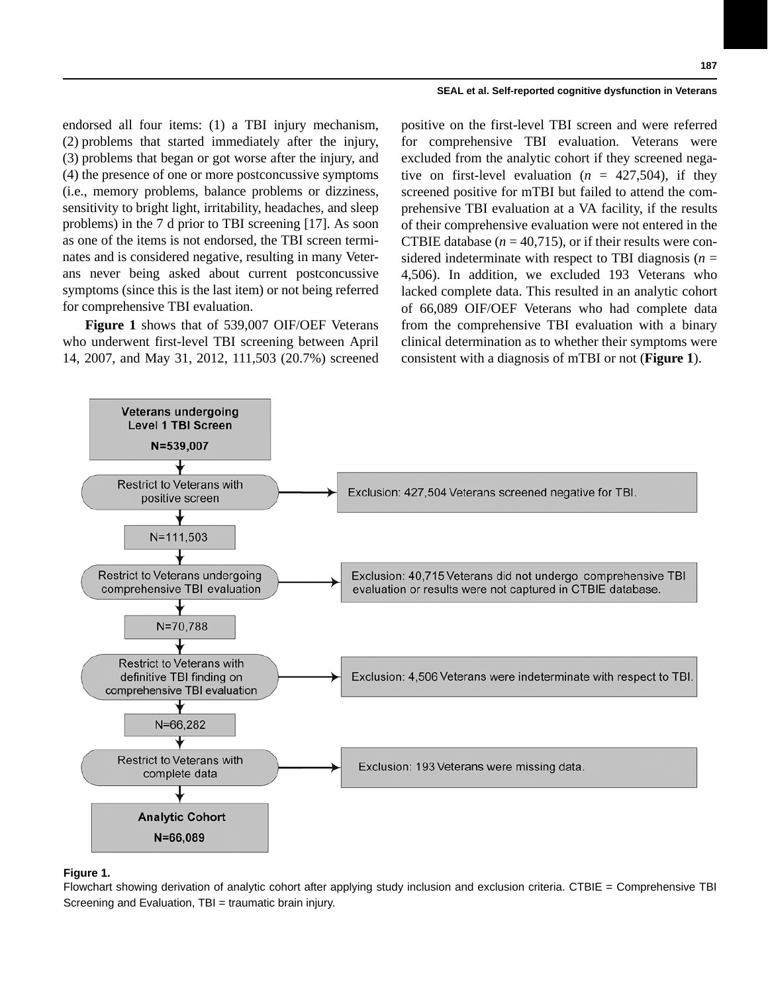endorsed all four items: (1) a TBI injury mechanism, (2) problems that started immediately after the injury, (3) problems that began or got worse after the injury, and (4) the presence of one or more postconcussive symptoms (i.e., memory problems, balance problems or dizziness, sensitivity to bright light, irritability, headaches, and sleep problems) in the 7 d prior to TBI screening [17]. As soon as one of the items is not endorsed, the TBI screen terminates and is considered negative, resulting in many Veterans never being asked about current postconcussive symptoms (since this is the last item) or not being referred for comprehensive TBI evaluation.

**Figure 1** shows that of 539,007 OIF/OEF Veterans who underwent first-level TBI screening between April 14, 2007, and May 31, 2012, 111,503 (20.7%) screened

positive on the first-level TBI screen and were referred for comprehensive TBI evaluation. Veterans were excluded from the analytic cohort if they screened negative on first-level evaluation ( $n = 427,504$ ), if they screened positive for mTBI but failed to attend the comprehensive TBI evaluation at a VA facility, if the results of their comprehensive evaluation were not entered in the CTBIE database  $(n = 40, 715)$ , or if their results were considered indeterminate with respect to TBI diagnosis  $(n =$ 4,506). In addition, we excluded 193 Veterans who lacked complete data. This resulted in an analytic cohort of 66,089 OIF/OEF Veterans who had complete data from the comprehensive TBI evaluation with a binary clinical determination as to whether their symptoms were consistent with a diagnosis of mTBI or not (**Figure 1**).



#### **Figure 1.**

Flowchart showing derivation of analytic cohort after applying study inclusion and exclusion criteria. CTBIE = Comprehensive TBI Screening and Evaluation, TBI = traumatic brain injury.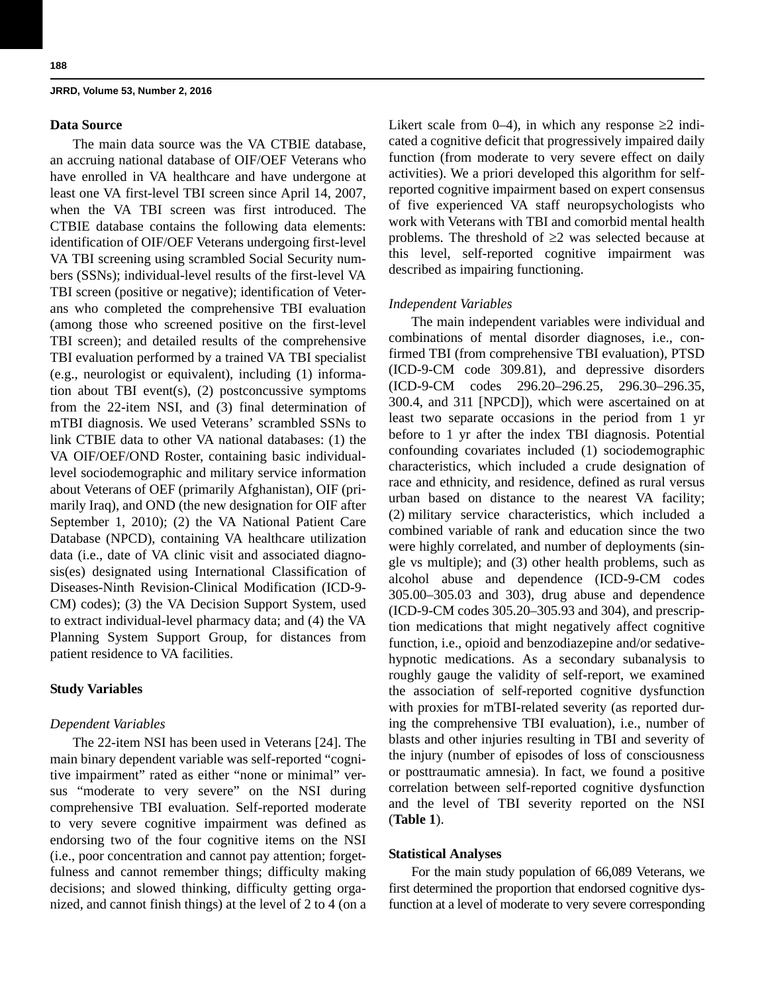# **Data Source**

The main data source was the VA CTBIE database, an accruing national database of OIF/OEF Veterans who have enrolled in VA healthcare and have undergone at least one VA first-level TBI screen since April 14, 2007, when the VA TBI screen was first introduced. The CTBIE database contains the following data elements: identification of OIF/OEF Veterans undergoing first-level VA TBI screening using scrambled Social Security numbers (SSNs); individual-level results of the first-level VA TBI screen (positive or negative); identification of Veterans who completed the comprehensive TBI evaluation (among those who screened positive on the first-level TBI screen); and detailed results of the comprehensive TBI evaluation performed by a trained VA TBI specialist (e.g., neurologist or equivalent), including (1) information about TBI event(s),  $(2)$  postconcussive symptoms from the 22-item NSI, and (3) final determination of mTBI diagnosis. We used Veterans' scrambled SSNs to link CTBIE data to other VA national databases: (1) the VA OIF/OEF/OND Roster, containing basic individuallevel sociodemographic and military service information about Veterans of OEF (primarily Afghanistan), OIF (primarily Iraq), and OND (the new designation for OIF after September 1, 2010); (2) the VA National Patient Care Database (NPCD), containing VA healthcare utilization data (i.e., date of VA clinic visit and associated diagnosis(es) designated using International Classification of Diseases-Ninth Revision-Clinical Modification (ICD-9- CM) codes); (3) the VA Decision Support System, used to extract individual-level pharmacy data; and (4) the VA Planning System Support Group, for distances from patient residence to VA facilities.

## **Study Variables**

# *Dependent Variables*

The 22-item NSI has been used in Veterans [24]. The main binary dependent variable was self-reported "cognitive impairment" rated as either "none or minimal" versus "moderate to very severe" on the NSI during comprehensive TBI evaluation. Self-reported moderate to very severe cognitive impairment was defined as endorsing two of the four cognitive items on the NSI (i.e., poor concentration and cannot pay attention; forgetfulness and cannot remember things; difficulty making decisions; and slowed thinking, difficulty getting organized, and cannot finish things) at the level of 2 to 4 (on a Likert scale from 0–4), in which any response  $\geq 2$  indicated a cognitive deficit that progressively impaired daily function (from moderate to very severe effect on daily activities). We a priori developed this algorithm for selfreported cognitive impairment based on expert consensus of five experienced VA staff neuropsychologists who work with Veterans with TBI and comorbid mental health problems. The threshold of  $\geq 2$  was selected because at this level, self-reported cognitive impairment was described as impairing functioning.

## *Independent Variables*

The main independent variables were individual and combinations of mental disorder diagnoses, i.e., confirmed TBI (from comprehensive TBI evaluation), PTSD (ICD-9-CM code 309.81), and depressive disorders (ICD-9-CM codes 296.20–296.25, 296.30–296.35, 300.4, and 311 [NPCD])*,* which were ascertained on at least two separate occasions in the period from 1 yr before to 1 yr after the index TBI diagnosis. Potential confounding covariates included (1) sociodemographic characteristics, which included a crude designation of race and ethnicity, and residence, defined as rural versus urban based on distance to the nearest VA facility; (2) military service characteristics, which included a combined variable of rank and education since the two were highly correlated, and number of deployments (single vs multiple); and (3) other health problems, such as alcohol abuse and dependence (ICD-9-CM codes 305.00–305.03 and 303), drug abuse and dependence (ICD-9-CM codes 305.20–305.93 and 304), and prescription medications that might negatively affect cognitive function, i.e., opioid and benzodiazepine and/or sedativehypnotic medications. As a secondary subanalysis to roughly gauge the validity of self-report, we examined the association of self-reported cognitive dysfunction with proxies for mTBI-related severity (as reported during the comprehensive TBI evaluation), i.e., number of blasts and other injuries resulting in TBI and severity of the injury (number of episodes of loss of consciousness or posttraumatic amnesia). In fact, we found a positive correlation between self-reported cognitive dysfunction and the level of TBI severity reported on the NSI (**Table 1**).

### **Statistical Analyses**

For the main study population of 66,089 Veterans, we first determined the proportion that endorsed cognitive dysfunction at a level of moderate to very severe corresponding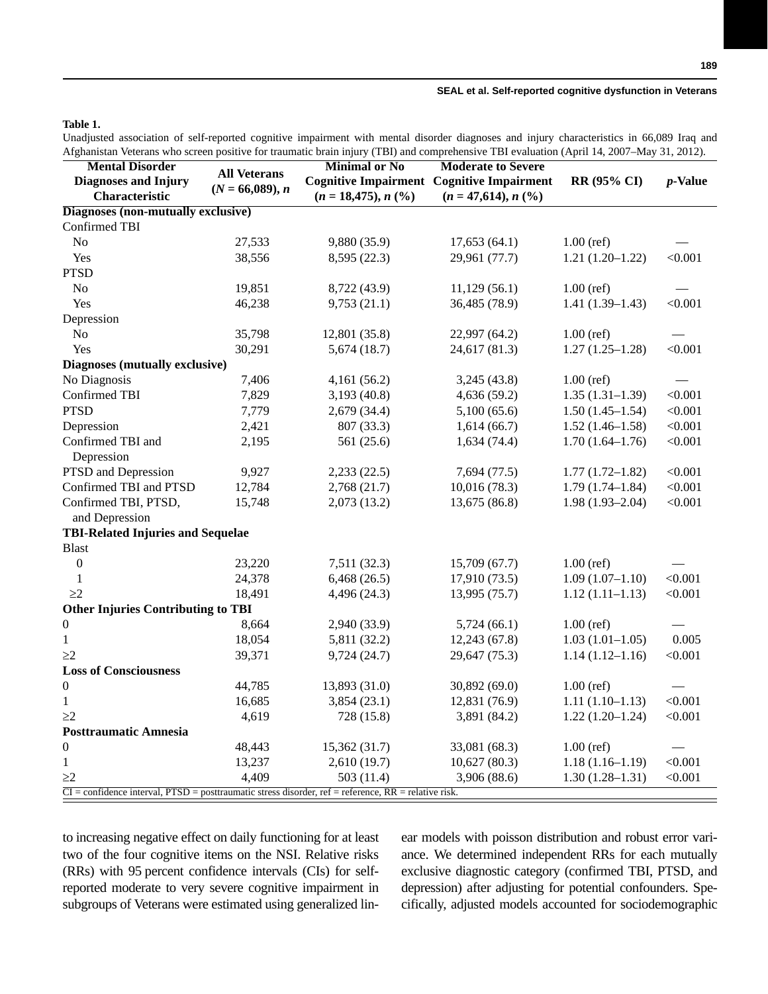Unadjusted association of self-reported cognitive impairment with mental disorder diagnoses and injury characteristics in 66,089 Iraq and Afghanistan Veterans who screen positive for traumatic brain injury (TBI) and comprehensive TBI evaluation (April 14, 2007–May 31, 2012).

| <b>Mental Disorder</b>                                                                                            |                     | <b>Minimal or No</b>  | <b>Moderate to Severe</b>                        |                     |            |  |  |  |  |
|-------------------------------------------------------------------------------------------------------------------|---------------------|-----------------------|--------------------------------------------------|---------------------|------------|--|--|--|--|
| <b>Diagnoses and Injury</b>                                                                                       | <b>All Veterans</b> |                       | <b>Cognitive Impairment Cognitive Impairment</b> | RR (95% CI)         | $p$ -Value |  |  |  |  |
| Characteristic                                                                                                    | $(N = 66,089), n$   | $(n = 18,475), n$ (%) | $(n = 47,614), n$ (%)                            |                     |            |  |  |  |  |
| Diagnoses (non-mutually exclusive)                                                                                |                     |                       |                                                  |                     |            |  |  |  |  |
| Confirmed TBI                                                                                                     |                     |                       |                                                  |                     |            |  |  |  |  |
| No                                                                                                                | 27,533              | 9,880 (35.9)          | 17,653(64.1)                                     | $1.00$ (ref)        |            |  |  |  |  |
| Yes                                                                                                               | 38,556              | 8,595 (22.3)          | 29,961 (77.7)                                    | $1.21(1.20-1.22)$   | < 0.001    |  |  |  |  |
| <b>PTSD</b>                                                                                                       |                     |                       |                                                  |                     |            |  |  |  |  |
| No                                                                                                                | 19,851              | 8,722 (43.9)          | 11,129(56.1)                                     | $1.00$ (ref)        |            |  |  |  |  |
| Yes                                                                                                               | 46,238              | 9,753(21.1)           | 36,485 (78.9)                                    | $1.41(1.39-1.43)$   | < 0.001    |  |  |  |  |
| Depression                                                                                                        |                     |                       |                                                  |                     |            |  |  |  |  |
| N <sub>o</sub>                                                                                                    | 35,798              | 12,801 (35.8)         | 22,997 (64.2)                                    | $1.00$ (ref)        |            |  |  |  |  |
| Yes                                                                                                               | 30,291              | 5,674(18.7)           | 24,617 (81.3)                                    | $1.27(1.25-1.28)$   | < 0.001    |  |  |  |  |
| Diagnoses (mutually exclusive)                                                                                    |                     |                       |                                                  |                     |            |  |  |  |  |
| No Diagnosis                                                                                                      | 7,406               | 4,161(56.2)           | 3,245(43.8)                                      | $1.00$ (ref)        |            |  |  |  |  |
| Confirmed TBI                                                                                                     | 7,829               | 3,193(40.8)           | 4,636(59.2)                                      | $1.35(1.31-1.39)$   | < 0.001    |  |  |  |  |
| <b>PTSD</b>                                                                                                       | 7,779               | 2,679 (34.4)          | 5,100(65.6)                                      | $1.50(1.45-1.54)$   | < 0.001    |  |  |  |  |
| Depression                                                                                                        | 2,421               | 807 (33.3)            | 1,614(66.7)                                      | $1.52(1.46-1.58)$   | < 0.001    |  |  |  |  |
| Confirmed TBI and                                                                                                 | 2,195               | 561 (25.6)            | 1,634(74.4)                                      | $1.70(1.64 - 1.76)$ | < 0.001    |  |  |  |  |
| Depression                                                                                                        |                     |                       |                                                  |                     |            |  |  |  |  |
| PTSD and Depression                                                                                               | 9,927               | 2,233(22.5)           | 7,694 (77.5)                                     | $1.77(1.72 - 1.82)$ | < 0.001    |  |  |  |  |
| Confirmed TBI and PTSD                                                                                            | 12,784              | 2,768 (21.7)          | 10,016 (78.3)                                    | $1.79(1.74 - 1.84)$ | < 0.001    |  |  |  |  |
| Confirmed TBI, PTSD,                                                                                              | 15,748              | 2,073(13.2)           | 13,675 (86.8)                                    | $1.98(1.93 - 2.04)$ | < 0.001    |  |  |  |  |
| and Depression                                                                                                    |                     |                       |                                                  |                     |            |  |  |  |  |
| <b>TBI-Related Injuries and Sequelae</b>                                                                          |                     |                       |                                                  |                     |            |  |  |  |  |
| <b>Blast</b>                                                                                                      |                     |                       |                                                  |                     |            |  |  |  |  |
| $\boldsymbol{0}$                                                                                                  | 23,220              | 7,511 (32.3)          | 15,709 (67.7)                                    | $1.00$ (ref)        |            |  |  |  |  |
| $\mathbf{1}$                                                                                                      | 24,378              | 6,468(26.5)           | 17,910 (73.5)                                    | $1.09(1.07-1.10)$   | < 0.001    |  |  |  |  |
| $\geq$ 2                                                                                                          | 18,491              | 4,496 (24.3)          | 13,995 (75.7)                                    | $1.12(1.11-1.13)$   | < 0.001    |  |  |  |  |
| <b>Other Injuries Contributing to TBI</b>                                                                         |                     |                       |                                                  |                     |            |  |  |  |  |
| $\boldsymbol{0}$                                                                                                  | 8,664               | 2,940 (33.9)          | 5,724(66.1)                                      | $1.00$ (ref)        |            |  |  |  |  |
| 1                                                                                                                 | 18,054              | 5,811 (32.2)          | 12,243 (67.8)                                    | $1.03(1.01-1.05)$   | 0.005      |  |  |  |  |
| $\geq$ 2                                                                                                          | 39,371              | 9,724 (24.7)          | 29,647 (75.3)                                    | $1.14(1.12 - 1.16)$ | < 0.001    |  |  |  |  |
| <b>Loss of Consciousness</b>                                                                                      |                     |                       |                                                  |                     |            |  |  |  |  |
| $\boldsymbol{0}$                                                                                                  | 44,785              | 13,893 (31.0)         | 30,892 (69.0)                                    | $1.00$ (ref)        |            |  |  |  |  |
| $\mathbf{1}$                                                                                                      | 16,685              | 3,854(23.1)           | 12,831 (76.9)                                    | $1.11(1.10-1.13)$   | < 0.001    |  |  |  |  |
| $\geq$ 2                                                                                                          | 4,619               | 728 (15.8)            | 3,891 (84.2)                                     | $1.22(1.20-1.24)$   | < 0.001    |  |  |  |  |
| <b>Posttraumatic Amnesia</b>                                                                                      |                     |                       |                                                  |                     |            |  |  |  |  |
| $\boldsymbol{0}$                                                                                                  | 48,443              | 15,362 (31.7)         | 33,081 (68.3)                                    | $1.00$ (ref)        |            |  |  |  |  |
| $\mathbf 1$                                                                                                       | 13,237              | 2,610(19.7)           | 10,627(80.3)                                     | $1.18(1.16-1.19)$   | < 0.001    |  |  |  |  |
| $\geq$ 2                                                                                                          | 4,409               | 503(11.4)             | 3,906 (88.6)                                     | $1.30(1.28 - 1.31)$ | < 0.001    |  |  |  |  |
| $\overline{CI}$ = confidence interval, PTSD = posttraumatic stress disorder, ref = reference, RR = relative risk. |                     |                       |                                                  |                     |            |  |  |  |  |

to increasing negative effect on daily functioning for at least two of the four cognitive items on the NSI. Relative risks (RRs) with 95 percent confidence intervals (CIs) for selfreported moderate to very severe cognitive impairment in subgroups of Veterans were estimated using generalized linear models with poisson distribution and robust error variance. We determined independent RRs for each mutually exclusive diagnostic category (confirmed TBI, PTSD, and depression) after adjusting for potential confounders. Specifically, adjusted models accounted for sociodemographic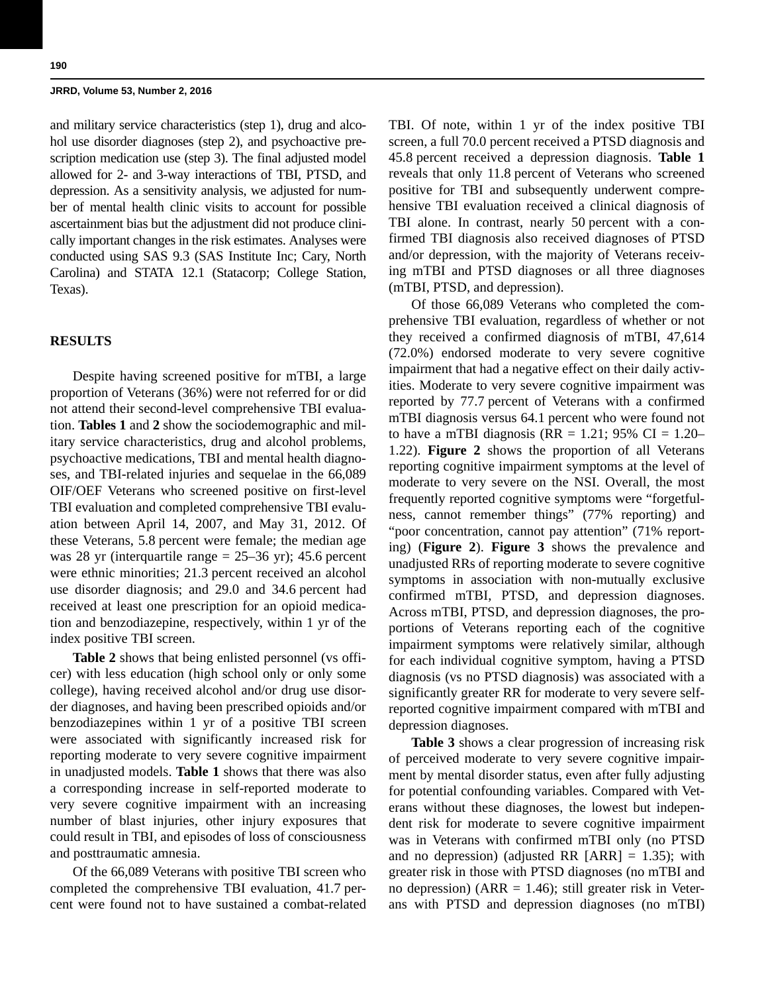and military service characteristics (step 1), drug and alcohol use disorder diagnoses (step 2), and psychoactive prescription medication use (step 3). The final adjusted model allowed for 2- and 3-way interactions of TBI, PTSD, and depression. As a sensitivity analysis, we adjusted for number of mental health clinic visits to account for possible ascertainment bias but the adjustment did not produce clinically important changes in the risk estimates. Analyses were conducted using SAS 9.3 (SAS Institute Inc; Cary, North Carolina) and STATA 12.1 (Statacorp; College Station, Texas).

## **RESULTS**

Despite having screened positive for mTBI, a large proportion of Veterans (36%) were not referred for or did not attend their second-level comprehensive TBI evaluation. **Tables 1** and **2** show the sociodemographic and military service characteristics, drug and alcohol problems, psychoactive medications, TBI and mental health diagnoses, and TBI-related injuries and sequelae in the 66,089 OIF/OEF Veterans who screened positive on first-level TBI evaluation and completed comprehensive TBI evaluation between April 14, 2007, and May 31, 2012. Of these Veterans, 5.8 percent were female; the median age was 28 yr (interquartile range  $= 25-36$  yr); 45.6 percent were ethnic minorities; 21.3 percent received an alcohol use disorder diagnosis; and 29.0 and 34.6 percent had received at least one prescription for an opioid medication and benzodiazepine, respectively, within 1 yr of the index positive TBI screen.

**Table 2** shows that being enlisted personnel (vs officer) with less education (high school only or only some college), having received alcohol and/or drug use disorder diagnoses, and having been prescribed opioids and/or benzodiazepines within 1 yr of a positive TBI screen were associated with significantly increased risk for reporting moderate to very severe cognitive impairment in unadjusted models. **Table 1** shows that there was also a corresponding increase in self-reported moderate to very severe cognitive impairment with an increasing number of blast injuries, other injury exposures that could result in TBI, and episodes of loss of consciousness and posttraumatic amnesia.

Of the 66,089 Veterans with positive TBI screen who completed the comprehensive TBI evaluation, 41.7 percent were found not to have sustained a combat-related TBI. Of note, within 1 yr of the index positive TBI screen, a full 70.0 percent received a PTSD diagnosis and 45.8 percent received a depression diagnosis. **Table 1** reveals that only 11.8 percent of Veterans who screened positive for TBI and subsequently underwent comprehensive TBI evaluation received a clinical diagnosis of TBI alone. In contrast, nearly 50 percent with a confirmed TBI diagnosis also received diagnoses of PTSD and/or depression, with the majority of Veterans receiving mTBI and PTSD diagnoses or all three diagnoses (mTBI, PTSD, and depression).

Of those 66,089 Veterans who completed the comprehensive TBI evaluation, regardless of whether or not they received a confirmed diagnosis of mTBI, 47,614 (72.0%) endorsed moderate to very severe cognitive impairment that had a negative effect on their daily activities. Moderate to very severe cognitive impairment was reported by 77.7 percent of Veterans with a confirmed mTBI diagnosis versus 64.1 percent who were found not to have a mTBI diagnosis ( $RR = 1.21$ ; 95% CI = 1.20– 1.22). **Figure 2** shows the proportion of all Veterans reporting cognitive impairment symptoms at the level of moderate to very severe on the NSI. Overall, the most frequently reported cognitive symptoms were "forgetfulness, cannot remember things" (77% reporting) and "poor concentration, cannot pay attention" (71% reporting) (**Figure 2**). **Figure 3** shows the prevalence and unadjusted RRs of reporting moderate to severe cognitive symptoms in association with non-mutually exclusive confirmed mTBI, PTSD, and depression diagnoses. Across mTBI, PTSD, and depression diagnoses, the proportions of Veterans reporting each of the cognitive impairment symptoms were relatively similar, although for each individual cognitive symptom, having a PTSD diagnosis (vs no PTSD diagnosis) was associated with a significantly greater RR for moderate to very severe selfreported cognitive impairment compared with mTBI and depression diagnoses.

**Table 3** shows a clear progression of increasing risk of perceived moderate to very severe cognitive impairment by mental disorder status, even after fully adjusting for potential confounding variables. Compared with Veterans without these diagnoses, the lowest but independent risk for moderate to severe cognitive impairment was in Veterans with confirmed mTBI only (no PTSD and no depression) (adjusted RR  $[ARR] = 1.35$ ); with greater risk in those with PTSD diagnoses (no mTBI and no depression) ( $ARR = 1.46$ ); still greater risk in Veterans with PTSD and depression diagnoses (no mTBI)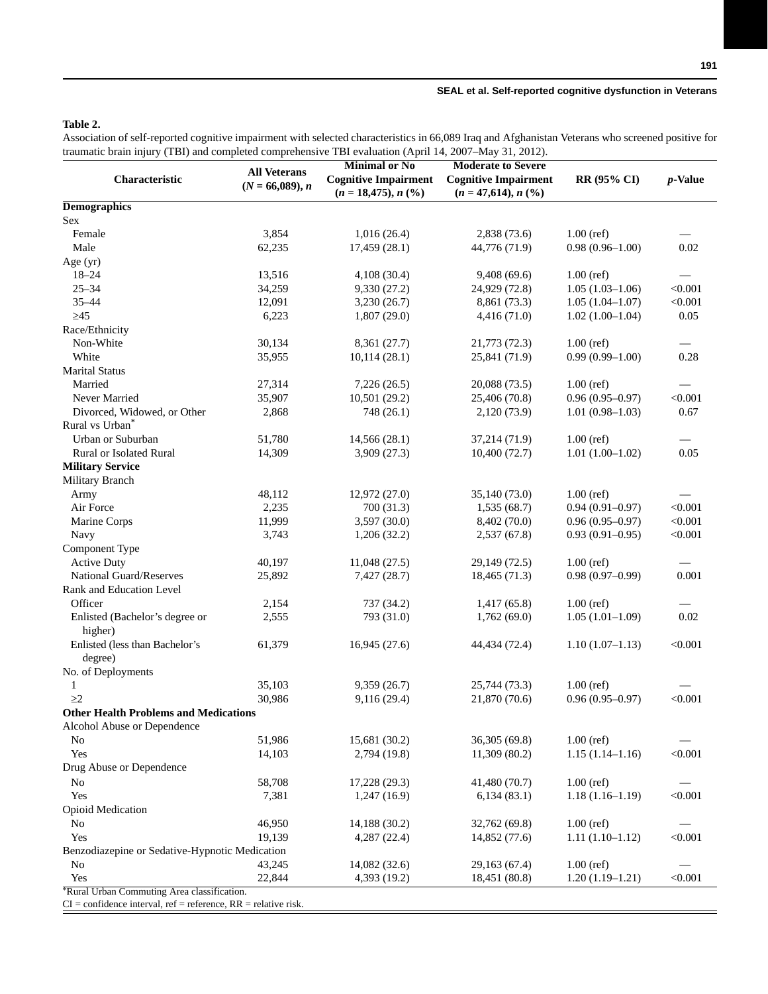# **Table 2.**

Association of self-reported cognitive impairment with selected characteristics in 66,089 Iraq and Afghanistan Veterans who screened positive for traumatic brain injury (TBI) and completed comprehensive TBI evaluation (April 14, 2007–May 31, 2012).

|                                                                    | <b>All Veterans</b> | <b>Minimal or No</b>                                 | <b>Moderate to Severe</b>                            |                     | <i>p</i> -Value |
|--------------------------------------------------------------------|---------------------|------------------------------------------------------|------------------------------------------------------|---------------------|-----------------|
| Characteristic                                                     | $(N = 66,089), n$   | <b>Cognitive Impairment</b><br>$(n = 18,475), n$ (%) | <b>Cognitive Impairment</b><br>$(n = 47,614), n$ (%) | RR (95% CI)         |                 |
| <b>Demographics</b>                                                |                     |                                                      |                                                      |                     |                 |
| Sex                                                                |                     |                                                      |                                                      |                     |                 |
| Female                                                             | 3,854               | 1,016(26.4)                                          | 2,838 (73.6)                                         | $1.00$ (ref)        |                 |
| Male                                                               | 62,235              | 17,459(28.1)                                         | 44,776 (71.9)                                        | $0.98(0.96 - 1.00)$ | 0.02            |
| Age $(yr)$                                                         |                     |                                                      |                                                      |                     |                 |
| $18 - 24$                                                          | 13,516              | 4,108 (30.4)                                         | 9,408(69.6)                                          | $1.00$ (ref)        |                 |
| $25 - 34$                                                          | 34,259              | 9,330 (27.2)                                         | 24,929 (72.8)                                        | $1.05(1.03-1.06)$   | < 0.001         |
| $35 - 44$                                                          | 12,091              | 3,230 (26.7)                                         | 8,861 (73.3)                                         | $1.05(1.04 - 1.07)$ | < 0.001         |
| $\geq 45$                                                          | 6,223               | 1,807(29.0)                                          | 4,416 (71.0)                                         | $1.02(1.00-1.04)$   | 0.05            |
| Race/Ethnicity                                                     |                     |                                                      |                                                      |                     |                 |
| Non-White                                                          | 30,134              | 8,361 (27.7)                                         | 21,773 (72.3)                                        | $1.00$ (ref)        |                 |
| White                                                              | 35,955              | 10,114(28.1)                                         | 25,841 (71.9)                                        | $0.99(0.99 - 1.00)$ | 0.28            |
| <b>Marital Status</b>                                              |                     |                                                      |                                                      |                     |                 |
| Married                                                            | 27,314              | 7,226(26.5)                                          | 20,088 (73.5)                                        | $1.00$ (ref)        |                 |
| Never Married                                                      | 35,907              | 10,501(29.2)                                         | 25,406 (70.8)                                        | $0.96(0.95 - 0.97)$ | < 0.001         |
| Divorced, Widowed, or Other                                        | 2,868               | 748 (26.1)                                           | 2,120 (73.9)                                         | $1.01(0.98-1.03)$   | 0.67            |
| Rural vs Urban <sup>*</sup>                                        |                     |                                                      |                                                      |                     |                 |
| Urban or Suburban                                                  | 51,780              | 14,566 (28.1)                                        | 37,214 (71.9)                                        | $1.00$ (ref)        |                 |
| <b>Rural or Isolated Rural</b>                                     | 14,309              | 3,909 (27.3)                                         | 10,400 (72.7)                                        | $1.01(1.00-1.02)$   | 0.05            |
| <b>Military Service</b>                                            |                     |                                                      |                                                      |                     |                 |
| Military Branch                                                    |                     |                                                      |                                                      |                     |                 |
| Army                                                               | 48,112              | 12,972 (27.0)                                        | 35,140 (73.0)                                        | $1.00$ (ref)        |                 |
| Air Force                                                          | 2,235               | 700 (31.3)                                           | 1,535(68.7)                                          | $0.94(0.91 - 0.97)$ | < 0.001         |
| Marine Corps                                                       | 11,999              | 3,597 (30.0)                                         | 8,402 (70.0)                                         | $0.96(0.95 - 0.97)$ | < 0.001         |
| Navy                                                               | 3,743               | 1,206(32.2)                                          | 2,537(67.8)                                          | $0.93(0.91 - 0.95)$ | < 0.001         |
| Component Type                                                     |                     |                                                      |                                                      |                     |                 |
| <b>Active Duty</b>                                                 | 40,197              | 11,048 (27.5)                                        | 29,149 (72.5)                                        | $1.00$ (ref)        |                 |
| <b>National Guard/Reserves</b>                                     | 25,892              | 7,427 (28.7)                                         | 18,465 (71.3)                                        | $0.98(0.97-0.99)$   | 0.001           |
| Rank and Education Level                                           |                     |                                                      |                                                      |                     |                 |
| Officer                                                            | 2,154               | 737 (34.2)                                           | 1,417(65.8)                                          | $1.00$ (ref)        |                 |
| Enlisted (Bachelor's degree or                                     | 2,555               | 793 (31.0)                                           | 1,762(69.0)                                          | $1.05(1.01-1.09)$   | 0.02            |
| higher)                                                            |                     |                                                      |                                                      |                     |                 |
| Enlisted (less than Bachelor's                                     | 61,379              | 16,945(27.6)                                         | 44,434 (72.4)                                        | $1.10(1.07-1.13)$   | < 0.001         |
| degree)                                                            |                     |                                                      |                                                      |                     |                 |
| No. of Deployments                                                 |                     |                                                      |                                                      |                     |                 |
| 1                                                                  | 35,103              | 9,359(26.7)                                          | 25,744 (73.3)                                        | $1.00$ (ref)        |                 |
| $\geq$ 2                                                           | 30,986              | 9,116 (29.4)                                         | 21,870 (70.6)                                        | $0.96(0.95 - 0.97)$ | < 0.001         |
| <b>Other Health Problems and Medications</b>                       |                     |                                                      |                                                      |                     |                 |
| Alcohol Abuse or Dependence                                        |                     |                                                      |                                                      |                     |                 |
| No                                                                 | 51,986              | 15,681 (30.2)                                        | 36,305 (69.8)                                        | $1.00$ (ref)        |                 |
| Yes                                                                | 14,103              | 2,794 (19.8)                                         | 11,309 (80.2)                                        | $1.15(1.14-1.16)$   | < 0.001         |
| Drug Abuse or Dependence                                           |                     |                                                      |                                                      |                     |                 |
| No                                                                 | 58,708              | 17,228 (29.3)                                        | 41,480 (70.7)                                        | $1.00$ (ref)        |                 |
| Yes                                                                | 7,381               | 1,247(16.9)                                          | 6,134(83.1)                                          | $1.18(1.16-1.19)$   | < 0.001         |
| <b>Opioid Medication</b>                                           |                     |                                                      |                                                      |                     |                 |
| No                                                                 | 46,950              | 14,188 (30.2)                                        | 32,762 (69.8)                                        | $1.00$ (ref)        |                 |
| Yes                                                                | 19,139              | 4,287 (22.4)                                         | 14,852 (77.6)                                        | $1.11(1.10-1.12)$   | < 0.001         |
| Benzodiazepine or Sedative-Hypnotic Medication                     |                     |                                                      |                                                      |                     |                 |
| No                                                                 | 43,245              | 14,082 (32.6)                                        | 29,163 (67.4)                                        | $1.00$ (ref)        |                 |
| Yes                                                                | 22,844              | 4,393 (19.2)                                         | 18,451 (80.8)                                        | $1.20(1.19-1.21)$   | < 0.001         |
| *Rural Urban Commuting Area classification.                        |                     |                                                      |                                                      |                     |                 |
| $CI =$ confidence interval, ref = reference, $RR =$ relative risk. |                     |                                                      |                                                      |                     |                 |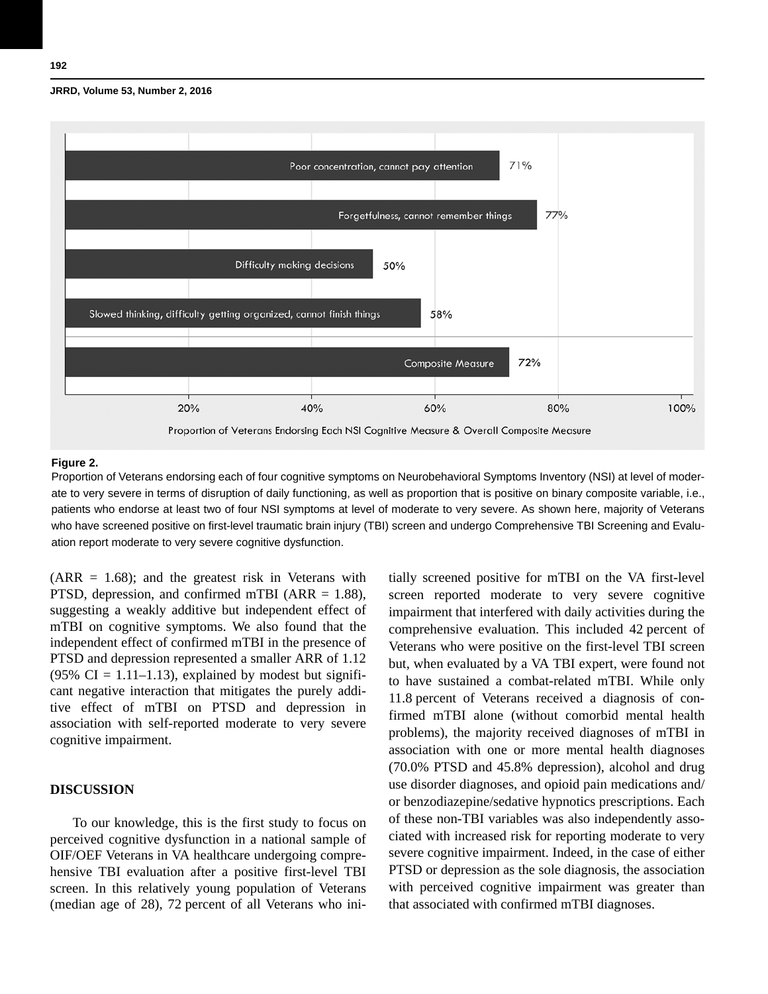

# **Figure 2.**

Proportion of Veterans endorsing each of four cognitive symptoms on Neurobehavioral Symptoms Inventory (NSI) at level of moderate to very severe in terms of disruption of daily functioning, as well as proportion that is positive on binary composite variable, i.e., patients who endorse at least two of four NSI symptoms at level of moderate to very severe. As shown here, majority of Veterans who have screened positive on first-level traumatic brain injury (TBI) screen and undergo Comprehensive TBI Screening and Evaluation report moderate to very severe cognitive dysfunction.

 $(ARR = 1.68)$ ; and the greatest risk in Veterans with PTSD, depression, and confirmed mTBI ( $ARR = 1.88$ ), suggesting a weakly additive but independent effect of mTBI on cognitive symptoms. We also found that the independent effect of confirmed mTBI in the presence of PTSD and depression represented a smaller ARR of 1.12 (95% CI = 1.11–1.13), explained by modest but significant negative interaction that mitigates the purely additive effect of mTBI on PTSD and depression in association with self-reported moderate to very severe cognitive impairment.

# **DISCUSSION**

To our knowledge, this is the first study to focus on perceived cognitive dysfunction in a national sample of OIF/OEF Veterans in VA healthcare undergoing comprehensive TBI evaluation after a positive first-level TBI screen. In this relatively young population of Veterans (median age of 28), 72 percent of all Veterans who initially screened positive for mTBI on the VA first-level screen reported moderate to very severe cognitive impairment that interfered with daily activities during the comprehensive evaluation. This included 42 percent of Veterans who were positive on the first-level TBI screen but, when evaluated by a VA TBI expert, were found not to have sustained a combat-related mTBI. While only 11.8 percent of Veterans received a diagnosis of confirmed mTBI alone (without comorbid mental health problems), the majority received diagnoses of mTBI in association with one or more mental health diagnoses (70.0% PTSD and 45.8% depression), alcohol and drug use disorder diagnoses, and opioid pain medications and/ or benzodiazepine/sedative hypnotics prescriptions. Each of these non-TBI variables was also independently associated with increased risk for reporting moderate to very severe cognitive impairment. Indeed, in the case of either PTSD or depression as the sole diagnosis, the association with perceived cognitive impairment was greater than that associated with confirmed mTBI diagnoses.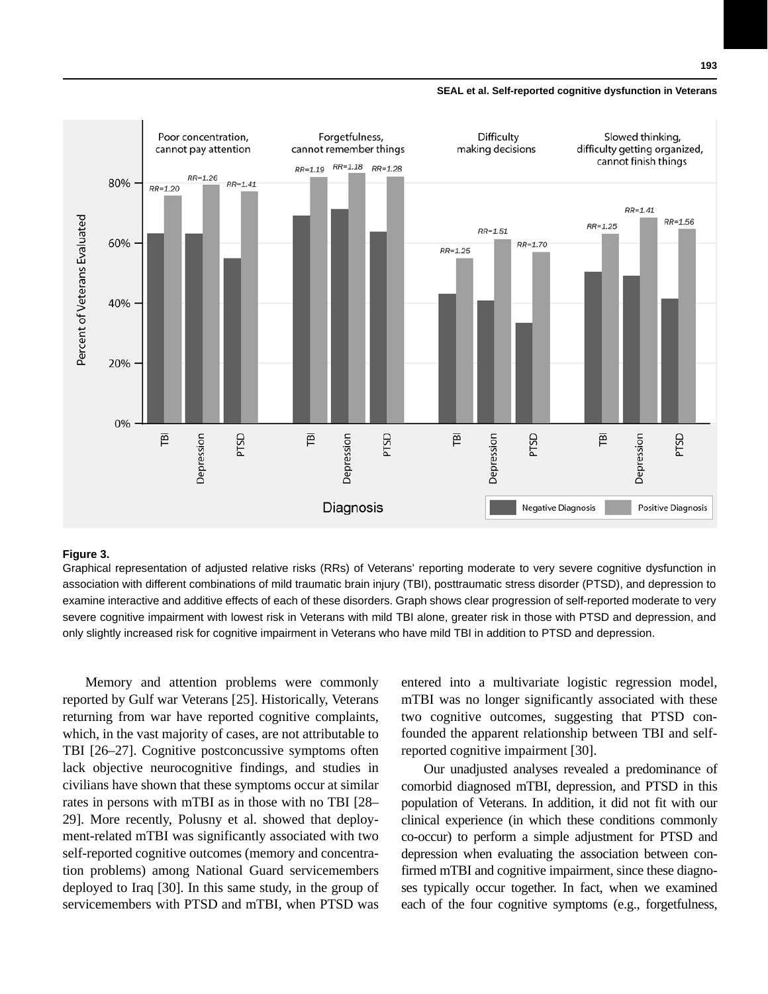

#### **Figure 3.**

Graphical representation of adjusted relative risks (RRs) of Veterans' reporting moderate to very severe cognitive dysfunction in association with different combinations of mild traumatic brain injury (TBI), posttraumatic stress disorder (PTSD), and depression to examine interactive and additive effects of each of these disorders. Graph shows clear progression of self-reported moderate to very severe cognitive impairment with lowest risk in Veterans with mild TBI alone, greater risk in those with PTSD and depression, and only slightly increased risk for cognitive impairment in Veterans who have mild TBI in addition to PTSD and depression.

Memory and attention problems were commonly reported by Gulf war Veterans [25]. Historically, Veterans returning from war have reported cognitive complaints, which, in the vast majority of cases, are not attributable to TBI [26–27]. Cognitive postconcussive symptoms often lack objective neurocognitive findings, and studies in civilians have shown that these symptoms occur at similar rates in persons with mTBI as in those with no TBI [28– 29]. More recently, Polusny et al. showed that deployment-related mTBI was significantly associated with two self-reported cognitive outcomes (memory and concentration problems) among National Guard servicemembers deployed to Iraq [30]. In this same study, in the group of servicemembers with PTSD and mTBI, when PTSD was

entered into a multivariate logistic regression model, mTBI was no longer significantly associated with these two cognitive outcomes, suggesting that PTSD confounded the apparent relationship between TBI and selfreported cognitive impairment [30].

Our unadjusted analyses revealed a predominance of comorbid diagnosed mTBI, depression, and PTSD in this population of Veterans. In addition, it did not fit with our clinical experience (in which these conditions commonly co-occur) to perform a simple adjustment for PTSD and depression when evaluating the association between confirmed mTBI and cognitive impairment, since these diagnoses typically occur together. In fact, when we examined each of the four cognitive symptoms (e.g., forgetfulness,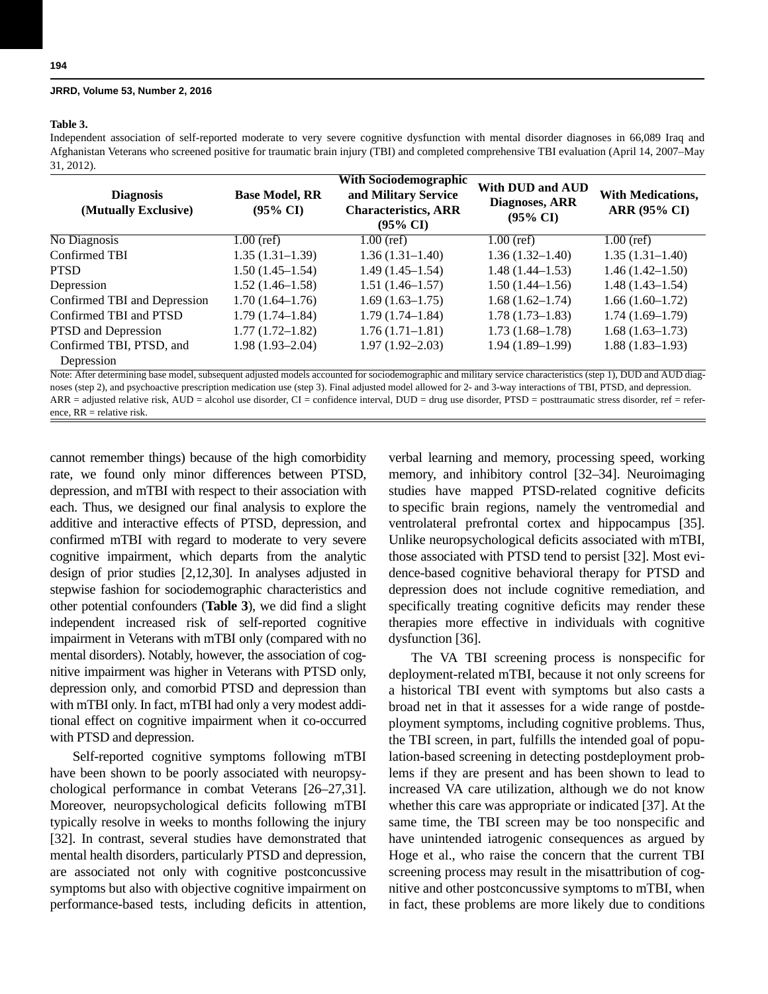#### **Table 3.**

Independent association of self-reported moderate to very severe cognitive dysfunction with mental disorder diagnoses in 66,089 Iraq and Afghanistan Veterans who screened positive for traumatic brain injury (TBI) and completed comprehensive TBI evaluation (April 14, 2007–May 31, 2012).

| <b>Diagnosis</b><br>(Mutually Exclusive)                                                                                                                       | <b>Base Model, RR</b><br>$(95\% \text{ CI})$ | <b>With Sociodemographic</b><br>and Military Service<br><b>Characteristics, ARR</b><br>$(95\% \text{ CI})$ | With DUD and AUD<br>Diagnoses, ARR<br>$(95\% \text{ CI})$ | <b>With Medications,</b><br><b>ARR (95% CI)</b> |  |  |  |
|----------------------------------------------------------------------------------------------------------------------------------------------------------------|----------------------------------------------|------------------------------------------------------------------------------------------------------------|-----------------------------------------------------------|-------------------------------------------------|--|--|--|
| No Diagnosis                                                                                                                                                   | $1.00$ (ref)                                 | $1.00$ (ref)                                                                                               | $1.00$ (ref)                                              | $1.00$ (ref)                                    |  |  |  |
| Confirmed TBI                                                                                                                                                  | $1.35(1.31-1.39)$                            | $1.36(1.31-1.40)$                                                                                          | $1.36(1.32 - 1.40)$                                       | $1.35(1.31-1.40)$                               |  |  |  |
| <b>PTSD</b>                                                                                                                                                    | $1.50(1.45-1.54)$                            | $1.49(1.45-1.54)$                                                                                          | $1.48(1.44 - 1.53)$                                       | $1.46(1.42 - 1.50)$                             |  |  |  |
| Depression                                                                                                                                                     | $1.52(1.46-1.58)$                            | $1.51(1.46-1.57)$                                                                                          | $1.50(1.44 - 1.56)$                                       | $1.48(1.43 - 1.54)$                             |  |  |  |
| Confirmed TBI and Depression                                                                                                                                   | $1.70(1.64 - 1.76)$                          | $1.69(1.63-1.75)$                                                                                          | $1.68(1.62 - 1.74)$                                       | $1.66(1.60-1.72)$                               |  |  |  |
| Confirmed TBI and PTSD                                                                                                                                         | $1.79(1.74 - 1.84)$                          | $1.79(1.74 - 1.84)$                                                                                        | $1.78(1.73-1.83)$                                         | $1.74(1.69-1.79)$                               |  |  |  |
| PTSD and Depression                                                                                                                                            | $1.77(1.72 - 1.82)$                          | $1.76(1.71-1.81)$                                                                                          | $1.73(1.68-1.78)$                                         | $1.68(1.63-1.73)$                               |  |  |  |
| Confirmed TBI, PTSD, and                                                                                                                                       | $1.98(1.93 - 2.04)$                          | $1.97(1.92 - 2.03)$                                                                                        | $1.94(1.89-1.99)$                                         | $1.88(1.83 - 1.93)$                             |  |  |  |
| Depression                                                                                                                                                     |                                              |                                                                                                            |                                                           |                                                 |  |  |  |
| Note: After determining base model, subsequent adjusted models accounted for sociodemographic and military service characteristics (step 1), DUD and AUD diag- |                                              |                                                                                                            |                                                           |                                                 |  |  |  |

noses (step 2), and psychoactive prescription medication use (step 3). Final adjusted model allowed for 2- and 3-way interactions of TBI, PTSD, and depression. ARR = adjusted relative risk, AUD = alcohol use disorder, CI = confidence interval, DUD = drug use disorder, PTSD = posttraumatic stress disorder, ref = reference, RR = relative risk.

cannot remember things) because of the high comorbidity rate, we found only minor differences between PTSD, depression, and mTBI with respect to their association with each. Thus, we designed our final analysis to explore the additive and interactive effects of PTSD, depression, and confirmed mTBI with regard to moderate to very severe cognitive impairment, which departs from the analytic design of prior studies [2,12,30]. In analyses adjusted in stepwise fashion for sociodemographic characteristics and other potential confounders (**Table 3**), we did find a slight independent increased risk of self-reported cognitive impairment in Veterans with mTBI only (compared with no mental disorders). Notably, however, the association of cognitive impairment was higher in Veterans with PTSD only, depression only, and comorbid PTSD and depression than with mTBI only. In fact, mTBI had only a very modest additional effect on cognitive impairment when it co-occurred with PTSD and depression.

Self-reported cognitive symptoms following mTBI have been shown to be poorly associated with neuropsychological performance in combat Veterans [26–27,31]. Moreover, neuropsychological deficits following mTBI typically resolve in weeks to months following the injury [32]. In contrast, several studies have demonstrated that mental health disorders, particularly PTSD and depression, are associated not only with cognitive postconcussive symptoms but also with objective cognitive impairment on performance-based tests, including deficits in attention, verbal learning and memory, processing speed, working memory, and inhibitory control [32–34]. Neuroimaging studies have mapped PTSD-related cognitive deficits to specific brain regions, namely the ventromedial and ventrolateral prefrontal cortex and hippocampus [35]. Unlike neuropsychological deficits associated with mTBI, those associated with PTSD tend to persist [32]. Most evidence-based cognitive behavioral therapy for PTSD and depression does not include cognitive remediation, and specifically treating cognitive deficits may render these therapies more effective in individuals with cognitive dysfunction [36].

The VA TBI screening process is nonspecific for deployment-related mTBI, because it not only screens for a historical TBI event with symptoms but also casts a broad net in that it assesses for a wide range of postdeployment symptoms, including cognitive problems. Thus, the TBI screen, in part, fulfills the intended goal of population-based screening in detecting postdeployment problems if they are present and has been shown to lead to increased VA care utilization, although we do not know whether this care was appropriate or indicated [37]. At the same time, the TBI screen may be too nonspecific and have unintended iatrogenic consequences as argued by Hoge et al., who raise the concern that the current TBI screening process may result in the misattribution of cognitive and other postconcussive symptoms to mTBI, when in fact, these problems are more likely due to conditions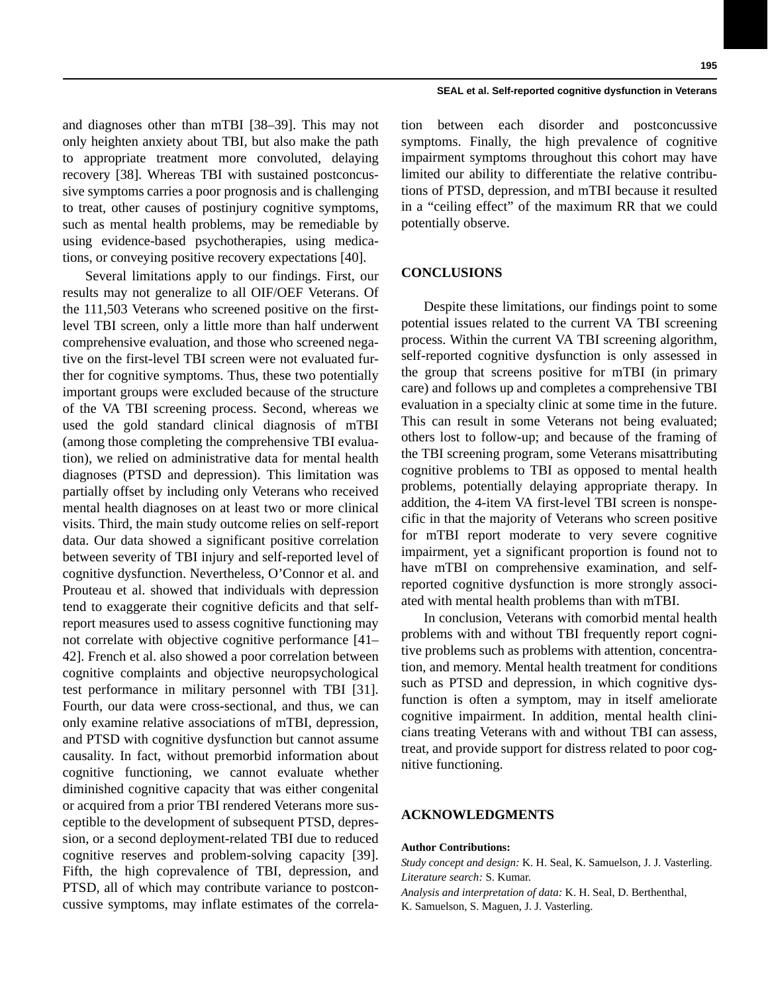and diagnoses other than mTBI [38–39]. This may not only heighten anxiety about TBI, but also make the path to appropriate treatment more convoluted, delaying recovery [38]. Whereas TBI with sustained postconcussive symptoms carries a poor prognosis and is challenging to treat, other causes of postinjury cognitive symptoms, such as mental health problems, may be remediable by using evidence-based psychotherapies, using medications, or conveying positive recovery expectations [40].

Several limitations apply to our findings. First, our results may not generalize to all OIF/OEF Veterans. Of the 111,503 Veterans who screened positive on the firstlevel TBI screen, only a little more than half underwent comprehensive evaluation, and those who screened negative on the first-level TBI screen were not evaluated further for cognitive symptoms. Thus, these two potentially important groups were excluded because of the structure of the VA TBI screening process. Second, whereas we used the gold standard clinical diagnosis of mTBI (among those completing the comprehensive TBI evaluation), we relied on administrative data for mental health diagnoses (PTSD and depression). This limitation was partially offset by including only Veterans who received mental health diagnoses on at least two or more clinical visits. Third, the main study outcome relies on self-report data. Our data showed a significant positive correlation between severity of TBI injury and self-reported level of cognitive dysfunction. Nevertheless, O'Connor et al. and Prouteau et al. showed that individuals with depression tend to exaggerate their cognitive deficits and that selfreport measures used to assess cognitive functioning may not correlate with objective cognitive performance [41– 42]. French et al. also showed a poor correlation between cognitive complaints and objective neuropsychological test performance in military personnel with TBI [31]. Fourth, our data were cross-sectional, and thus, we can only examine relative associations of mTBI, depression, and PTSD with cognitive dysfunction but cannot assume causality. In fact, without premorbid information about cognitive functioning, we cannot evaluate whether diminished cognitive capacity that was either congenital or acquired from a prior TBI rendered Veterans more susceptible to the development of subsequent PTSD, depression, or a second deployment-related TBI due to reduced cognitive reserves and problem-solving capacity [39]. Fifth, the high coprevalence of TBI, depression, and PTSD, all of which may contribute variance to postconcussive symptoms, may inflate estimates of the correla-

tion between each disorder and postconcussive symptoms. Finally, the high prevalence of cognitive impairment symptoms throughout this cohort may have limited our ability to differentiate the relative contributions of PTSD, depression, and mTBI because it resulted in a "ceiling effect" of the maximum RR that we could potentially observe.

# **CONCLUSIONS**

Despite these limitations, our findings point to some potential issues related to the current VA TBI screening process. Within the current VA TBI screening algorithm, self-reported cognitive dysfunction is only assessed in the group that screens positive for mTBI (in primary care) and follows up and completes a comprehensive TBI evaluation in a specialty clinic at some time in the future. This can result in some Veterans not being evaluated; others lost to follow-up; and because of the framing of the TBI screening program, some Veterans misattributing cognitive problems to TBI as opposed to mental health problems, potentially delaying appropriate therapy. In addition, the 4-item VA first-level TBI screen is nonspecific in that the majority of Veterans who screen positive for mTBI report moderate to very severe cognitive impairment, yet a significant proportion is found not to have mTBI on comprehensive examination, and selfreported cognitive dysfunction is more strongly associated with mental health problems than with mTBI.

In conclusion, Veterans with comorbid mental health problems with and without TBI frequently report cognitive problems such as problems with attention, concentration, and memory. Mental health treatment for conditions such as PTSD and depression, in which cognitive dysfunction is often a symptom, may in itself ameliorate cognitive impairment. In addition, mental health clinicians treating Veterans with and without TBI can assess, treat, and provide support for distress related to poor cognitive functioning.

# **ACKNOWLEDGMENTS**

#### **Author Contributions:**

*Study concept and design:* K. H. Seal, K. Samuelson, J. J. Vasterling. *Literature search:* S. Kumar. *Analysis and interpretation of data:* K. H. Seal, D. Berthenthal, K. Samuelson, S. Maguen, J. J. Vasterling.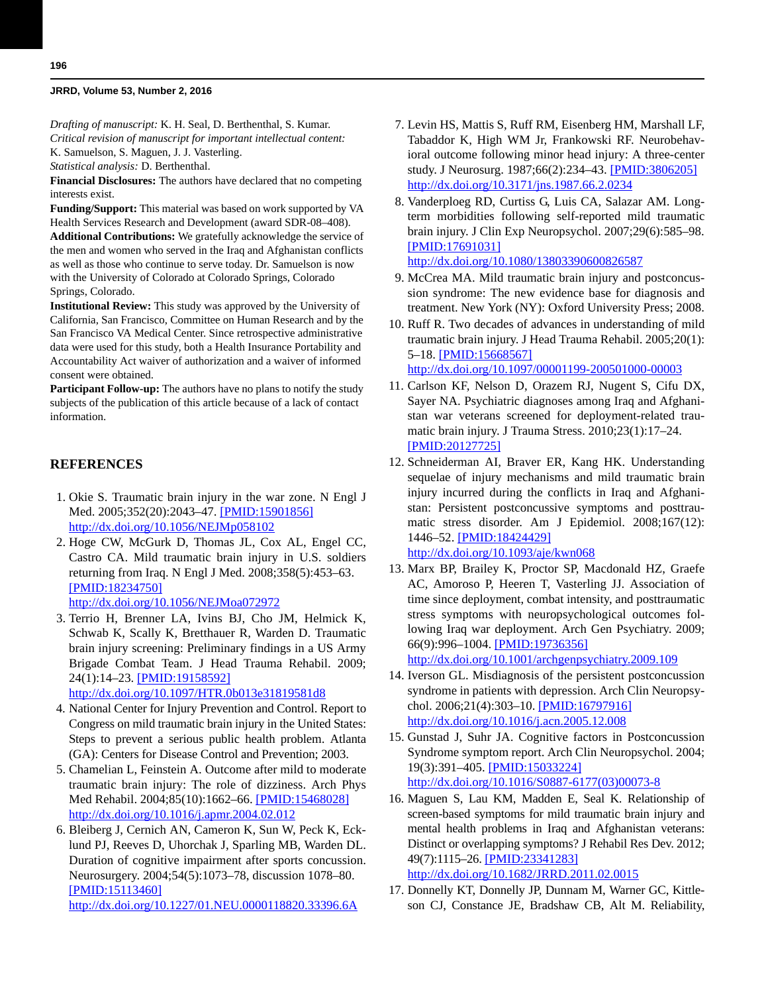*Drafting of manuscript:* K. H. Seal, D. Berthenthal, S. Kumar. *Critical revision of manuscript for important intellectual content:* K. Samuelson, S. Maguen, J. J. Vasterling.

*Statistical analysis:* D. Berthenthal.

**Financial Disclosures:** The authors have declared that no competing interests exist.

**Funding/Support:** This material was based on work supported by VA Health Services Research and Development (award SDR-08–408).

**Additional Contributions:** We gratefully acknowledge the service of the men and women who served in the Iraq and Afghanistan conflicts as well as those who continue to serve today. Dr. Samuelson is now with the University of Colorado at Colorado Springs, Colorado Springs, Colorado.

**Institutional Review:** This study was approved by the University of California, San Francisco, Committee on Human Research and by the San Francisco VA Medical Center. Since retrospective administrative data were used for this study, both a Health Insurance Portability and Accountability Act waiver of authorization and a waiver of informed consent were obtained.

**Participant Follow-up:** The authors have no plans to notify the study subjects of the publication of this article because of a lack of contact information.

# **REFERENCES**

- 1. Okie S. Traumatic brain injury in the war zone. N Engl J Med. 2005;352(20):2043–47. [\[PMID:15901856\]](http://www.ncbi.nlm.nih.gov/entrez/query.fcgi?cmd=Retrieve&db=PubMed&list_uids=15901856&dopt=Abstract) [h](http://www.ncbi.nlm.nih.gov/entrez/query.fcgi?cmd=Retrieve&db=PubMed&list_uids=15901856&dopt=Abstract)[ttp://dx.doi.org/10.1056/NEJMp058102](http://dx.doi.org/10.1056/NEJMp058102)
- 2. Hoge CW, McGurk D, Thomas JL, Cox AL, Engel CC, Castro CA. Mild traumatic brain injury in U.S. soldiers returning from Iraq. N Engl J Med. 2008;358(5):453–63. [\[PMID:18234750\]](http://www.ncbi.nlm.nih.gov/entrez/query.fcgi?cmd=Retrieve&db=PubMed&list_uids=18234750&dopt=Abstract) [h](http://www.ncbi.nlm.nih.gov/entrez/query.fcgi?cmd=Retrieve&db=PubMed&list_uids=18234750&dopt=Abstract)[ttp://dx.doi.org/10.1056/NEJMoa072972](http://dx.doi.org/10.1056/NEJMoa072972)
- 3. Terrio H, Brenner LA, Ivins BJ, Cho JM, Helmick K, Schwab K, Scally K, Bretthauer R, Warden D. Traumatic brain injury screening: Preliminary findings in a US Army Brigade Combat Team. J Head Trauma Rehabil. 2009; 24(1):14–23. [\[PMID:19158592\]](http://www.ncbi.nlm.nih.gov/entrez/query.fcgi?cmd=Retrieve&db=PubMed&list_uids=19158592&dopt=Abstract)

[h](http://www.ncbi.nlm.nih.gov/entrez/query.fcgi?cmd=Retrieve&db=PubMed&list_uids=19158592&dopt=Abstract)[ttp://dx.doi.org/10.1097/HTR.0b013e31819581d8](http://dx.doi.org/10.1097/HTR.0b013e31819581d8)

- 4. National Center for Injury Prevention and Control. Report to Congress on mild traumatic brain injury in the United States: Steps to prevent a serious public health problem. Atlanta (GA): Centers for Disease Control and Prevention; 2003.
- 5. Chamelian L, Feinstein A. Outcome after mild to moderate traumatic brain injury: The role of dizziness. Arch Phys Med Rehabil. 2004;85(10):1662–66. [\[PMID:15468028\]](http://www.ncbi.nlm.nih.gov/entrez/query.fcgi?cmd=Retrieve&db=PubMed&list_uids=15468028&dopt=Abstract) [h](http://www.ncbi.nlm.nih.gov/entrez/query.fcgi?cmd=Retrieve&db=PubMed&list_uids=15468028&dopt=Abstract)[ttp://dx.doi.org/10.1016/j.apmr.2004.02.012](http://dx.doi.org/10.1016/j.apmr.2004.02.012)
- 6. Bleiberg J, Cernich AN, Cameron K, Sun W, Peck K, Ecklund PJ, Reeves D, Uhorchak J, Sparling MB, Warden DL. Duration of cognitive impairment after sports concussion. Neurosurgery. 2004;54(5):1073–78, discussion 1078–80. [\[PMID:15113460\]](http://www.ncbi.nlm.nih.gov/entrez/query.fcgi?cmd=Retrieve&db=PubMed&list_uids=15113460&dopt=Abstract)

[h](http://www.ncbi.nlm.nih.gov/entrez/query.fcgi?cmd=Retrieve&db=PubMed&list_uids=15113460&dopt=Abstract)[ttp://dx.doi.org/10.1227/01.NEU.0000118820.33396.6A](http://dx.doi.org/10.1227/01.NEU.0000118820.33396.6A)

- 7. Levin HS, Mattis S, Ruff RM, Eisenberg HM, Marshall LF, Tabaddor K, High WM Jr, Frankowski RF. Neurobehavioral outcome following minor head injury: A three-center study. J Neurosurg. 1987;66(2):234–43. [\[PMID:3806205\]](http://www.ncbi.nlm.nih.gov/entrez/query.fcgi?cmd=Retrieve&db=PubMed&list_uids=3806205&dopt=Abstract) [h](http://www.ncbi.nlm.nih.gov/entrez/query.fcgi?cmd=Retrieve&db=PubMed&list_uids=3806205&dopt=Abstract)[ttp://dx.doi.org/10.3171/jns.1987.66.2.0234](http://dx.doi.org/10.3171/jns.1987.66.2.0234)
- 8. Vanderploeg RD, Curtiss G, Luis CA, Salazar AM. Longterm morbidities following self-reported mild traumatic brain injury. J Clin Exp Neuropsychol. 2007;29(6):585–98. [\[PMID:17691031\]](http://www.ncbi.nlm.nih.gov/entrez/query.fcgi?cmd=Retrieve&db=PubMed&list_uids=17691031&dopt=Abstract)

[h](http://www.ncbi.nlm.nih.gov/entrez/query.fcgi?cmd=Retrieve&db=PubMed&list_uids=17691031&dopt=Abstract)[ttp://dx.doi.org/10.1080/13803390600826587](http://dx.doi.org/10.1080/13803390600826587)

- 9. McCrea MA. Mild traumatic brain injury and postconcussion syndrome: The new evidence base for diagnosis and treatment. New York (NY): Oxford University Press; 2008.
- 10. Ruff R. Two decades of advances in understanding of mild traumatic brain injury. J Head Trauma Rehabil. 2005;20(1): 5–18. [\[PMID:15668567\]](http://www.ncbi.nlm.nih.gov/entrez/query.fcgi?cmd=Retrieve&db=PubMed&list_uids=15668567&dopt=Abstract) [h](http://www.ncbi.nlm.nih.gov/entrez/query.fcgi?cmd=Retrieve&db=PubMed&list_uids=15668567&dopt=Abstract)[ttp://dx.doi.org/10.1097/00001199-200501000-00003](http://dx.doi.org/10.1097/00001199-200501000-00003)
- 11. Carlson KF, Nelson D, Orazem RJ, Nugent S, Cifu DX, Sayer NA. Psychiatric diagnoses among Iraq and Afghanistan war veterans screened for deployment-related traumatic brain injury. J Trauma Stress. 2010;23(1):17–24. [\[PMID:20127725\]](http://www.ncbi.nlm.nih.gov/entrez/query.fcgi?cmd=Retrieve&db=PubMed&list_uids=20127725&dopt=Abstract)
- 12. Schneiderman AI, Braver ER, Kang HK. Understanding sequelae of injury mechanisms and mild traumatic brain injury incurred during the conflicts in Iraq and Afghanistan: Persistent postconcussive symptoms and posttraumatic stress disorder. Am J Epidemiol. 2008;167(12): 1446–52. [\[PMID:18424429\]](http://www.ncbi.nlm.nih.gov/entrez/query.fcgi?cmd=Retrieve&db=PubMed&list_uids=18424429&dopt=Abstract)

[h](http://www.ncbi.nlm.nih.gov/entrez/query.fcgi?cmd=Retrieve&db=PubMed&list_uids=18424429&dopt=Abstract)[ttp://dx.doi.org/10.1093/aje/kwn068](http://dx.doi.org/10.1093/aje/kwn068)

13. Marx BP, Brailey K, Proctor SP, Macdonald HZ, Graefe AC, Amoroso P, Heeren T, Vasterling JJ. Association of time since deployment, combat intensity, and posttraumatic stress symptoms with neuropsychological outcomes following Iraq war deployment. Arch Gen Psychiatry. 2009; 66(9):996–1004. [\[PMID:19736356\]](http://www.ncbi.nlm.nih.gov/entrez/query.fcgi?cmd=Retrieve&db=PubMed&list_uids=19736356&dopt=Abstract)

[h](http://www.ncbi.nlm.nih.gov/entrez/query.fcgi?cmd=Retrieve&db=PubMed&list_uids=19736356&dopt=Abstract)[ttp://dx.doi.org/10.1001/archgenpsychiatry.2009.109](http://dx.doi.org/10.1001/archgenpsychiatry.2009.109)

- 14. Iverson GL. Misdiagnosis of the persistent postconcussion syndrome in patients with depression. Arch Clin Neuropsychol. 2006;21(4):303–10. [\[PMID:16797916\]](http://www.ncbi.nlm.nih.gov/entrez/query.fcgi?cmd=Retrieve&db=PubMed&list_uids=16797916&dopt=Abstract) [h](http://www.ncbi.nlm.nih.gov/entrez/query.fcgi?cmd=Retrieve&db=PubMed&list_uids=16797916&dopt=Abstract)[ttp://dx.doi.org/10.1016/j.acn.2005.12.008](http://dx.doi.org/10.1016/j.acn.2005.12.008)
- 15. Gunstad J, Suhr JA. Cognitive factors in Postconcussion Syndrome symptom report. Arch Clin Neuropsychol. 2004; 19(3):391–405. [\[PMID:15033224\]](http://www.ncbi.nlm.nih.gov/entrez/query.fcgi?cmd=Retrieve&db=PubMed&list_uids=15033224&dopt=Abstract) [h](http://www.ncbi.nlm.nih.gov/entrez/query.fcgi?cmd=Retrieve&db=PubMed&list_uids=15033224&dopt=Abstract)[ttp://dx.doi.org/10.1016/S0887-6177\(03\)00073-8](http://dx.doi.org/10.1016/S0887-6177(03)00073-8)
- 16. Maguen S, Lau KM, Madden E, Seal K. Relationship of screen-based symptoms for mild traumatic brain injury and mental health problems in Iraq and Afghanistan veterans: Distinct or overlapping symptoms? J Rehabil Res Dev. 2012; 49(7):1115–26. [\[PMID:23341283\]](http://www.ncbi.nlm.nih.gov/entrez/query.fcgi?cmd=Retrieve&db=PubMed&list_uids=23341283&dopt=Abstract) [h](http://www.ncbi.nlm.nih.gov/entrez/query.fcgi?cmd=Retrieve&db=PubMed&list_uids=23341283&dopt=Abstract)[ttp://dx.doi.org/10.1682/JRRD.2011.02.0015](http://dx.doi.org/10.1682/JRRD.2011.02.0015)
- 17. Donnelly KT, Donnelly JP, Dunnam M, Warner GC, Kittleson CJ, Constance JE, Bradshaw CB, Alt M. Reliability,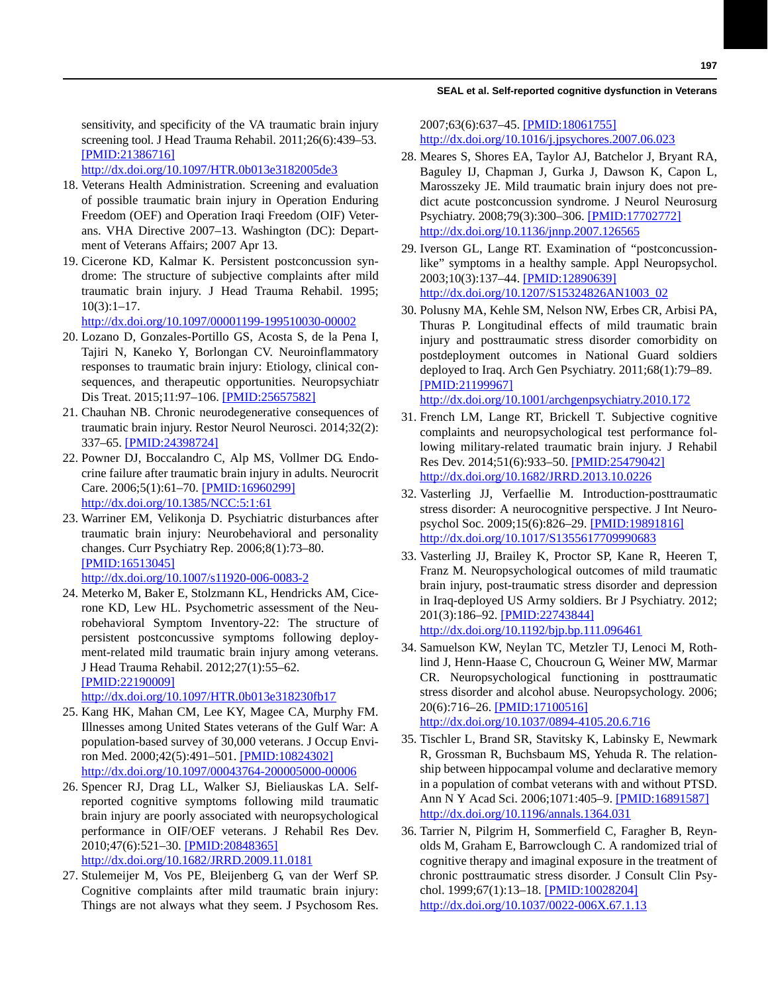sensitivity, and specificity of the VA traumatic brain injury screening tool. J Head Trauma Rehabil. 2011;26(6):439–53. [\[PMID:21386716\]](http://www.ncbi.nlm.nih.gov/entrez/query.fcgi?cmd=Retrieve&db=PubMed&list_uids=21386716&dopt=Abstract)

[h](http://www.ncbi.nlm.nih.gov/entrez/query.fcgi?cmd=Retrieve&db=PubMed&list_uids=21386716&dopt=Abstract)[ttp://dx.doi.org/10.1097/HTR.0b013e3182005de3](http://dx.doi.org/10.1097/HTR.0b013e3182005de3)

- 18. Veterans Health Administration. Screening and evaluation of possible traumatic brain injury in Operation Enduring Freedom (OEF) and Operation Iraqi Freedom (OIF) Veterans. VHA Directive 2007–13. Washington (DC): Department of Veterans Affairs; 2007 Apr 13.
- 19. Cicerone KD, Kalmar K. Persistent postconcussion syndrome: The structure of subjective complaints after mild traumatic brain injury. J Head Trauma Rehabil. 1995;  $10(3):1-17.$

<http://dx.doi.org/10.1097/00001199-199510030-00002>

- 20. Lozano D, Gonzales-Portillo GS, Acosta S, de la Pena I, Tajiri N, Kaneko Y, Borlongan CV. Neuroinflammatory responses to traumatic brain injury: Etiology, clinical consequences, and therapeutic opportunities. Neuropsychiatr Dis Treat. 2015;11:97–106. [\[PMID:25657582\]](http://www.ncbi.nlm.nih.gov/entrez/query.fcgi?cmd=Retrieve&db=PubMed&list_uids=25657582&dopt=Abstract)
- 21. Chauhan NB. Chronic neurodegenerative consequences of traumatic brain injury. Restor Neurol Neurosci. 2014;32(2): 337–65. [\[PMID:24398724\]](http://www.ncbi.nlm.nih.gov/entrez/query.fcgi?cmd=Retrieve&db=PubMed&list_uids=24398724&dopt=Abstract)
- 22. Powner DJ, Boccalandro C, Alp MS, Vollmer DG. Endocrine failure after traumatic brain injury in adults. Neurocrit Care. 2006;5(1):61–70. [\[PMID:16960299\]](http://www.ncbi.nlm.nih.gov/entrez/query.fcgi?cmd=Retrieve&db=PubMed&list_uids=16960299&dopt=Abstract) [h](http://www.ncbi.nlm.nih.gov/entrez/query.fcgi?cmd=Retrieve&db=PubMed&list_uids=16960299&dopt=Abstract)[ttp://dx.doi.org/10.1385/NCC:5:1:61](http://dx.doi.org/10.1385/NCC:5:1:61)
- 23. Warriner EM, Velikonja D. Psychiatric disturbances after traumatic brain injury: Neurobehavioral and personality changes. Curr Psychiatry Rep. 2006;8(1):73–80. [\[PMID:16513045\]](http://www.ncbi.nlm.nih.gov/entrez/query.fcgi?cmd=Retrieve&db=PubMed&list_uids=16513045&dopt=Abstract) [h](http://www.ncbi.nlm.nih.gov/entrez/query.fcgi?cmd=Retrieve&db=PubMed&list_uids=16513045&dopt=Abstract)[ttp://dx.doi.org/10.1007/s11920-006-0083-2](http://dx.doi.org/10.1007/s11920-006-0083-2)
- 24. Meterko M, Baker E, Stolzmann KL, Hendricks AM, Cicerone KD, Lew HL. Psychometric assessment of the Neurobehavioral Symptom Inventory-22: The structure of persistent postconcussive symptoms following deployment-related mild traumatic brain injury among veterans. J Head Trauma Rehabil. 2012;27(1):55–62. [\[PMID:22190009\]](http://www.ncbi.nlm.nih.gov/entrez/query.fcgi?cmd=Retrieve&db=PubMed&list_uids=22190009&dopt=Abstract)

[h](http://www.ncbi.nlm.nih.gov/entrez/query.fcgi?cmd=Retrieve&db=PubMed&list_uids=22190009&dopt=Abstract)[ttp://dx.doi.org/10.1097/HTR.0b013e318230fb17](http://dx.doi.org/10.1097/HTR.0b013e318230fb17)

- 25. Kang HK, Mahan CM, Lee KY, Magee CA, Murphy FM. Illnesses among United States veterans of the Gulf War: A population-based survey of 30,000 veterans. J Occup Environ Med. 2000;42(5):491–501. [\[PMID:10824302\]](http://www.ncbi.nlm.nih.gov/entrez/query.fcgi?cmd=Retrieve&db=PubMed&list_uids=10824302&dopt=Abstract) [h](http://www.ncbi.nlm.nih.gov/entrez/query.fcgi?cmd=Retrieve&db=PubMed&list_uids=10824302&dopt=Abstract)[ttp://dx.doi.org/10.1097/00043764-200005000-00006](http://dx.doi.org/10.1097/00043764-200005000-00006)
- 26. Spencer RJ, Drag LL, Walker SJ, Bieliauskas LA. Selfreported cognitive symptoms following mild traumatic brain injury are poorly associated with neuropsychological performance in OIF/OEF veterans. J Rehabil Res Dev. 2010;47(6):521–30. [\[PMID:20848365\]](http://www.ncbi.nlm.nih.gov/entrez/query.fcgi?cmd=Retrieve&db=PubMed&list_uids=20848365&dopt=Abstract) [h](http://www.ncbi.nlm.nih.gov/entrez/query.fcgi?cmd=Retrieve&db=PubMed&list_uids=20848365&dopt=Abstract)[ttp://dx.doi.org/10.1682/JRRD.2009.11.0181](http://dx.doi.org/10.1682/JRRD.2009.11.0181)

27. Stulemeijer M, Vos PE, Bleijenberg G, van der Werf SP. Cognitive complaints after mild traumatic brain injury: Things are not always what they seem. J Psychosom Res. 2007;63(6):637–45. [\[PMID:18061755\]](http://www.ncbi.nlm.nih.gov/entrez/query.fcgi?cmd=Retrieve&db=PubMed&list_uids=18061755&dopt=Abstract) [h](http://www.ncbi.nlm.nih.gov/entrez/query.fcgi?cmd=Retrieve&db=PubMed&list_uids=18061755&dopt=Abstract)[ttp://dx.doi.org/10.1016/j.jpsychores.2007.06.023](http://dx.doi.org/10.1016/j.jpsychores.2007.06.023)

- 28. Meares S, Shores EA, Taylor AJ, Batchelor J, Bryant RA, Baguley IJ, Chapman J, Gurka J, Dawson K, Capon L, Marosszeky JE. Mild traumatic brain injury does not predict acute postconcussion syndrome. J Neurol Neurosurg Psychiatry. 2008;79(3):300–306. [\[PMID:17702772\]](http://www.ncbi.nlm.nih.gov/entrez/query.fcgi?cmd=Retrieve&db=PubMed&list_uids=17702772&dopt=Abstract) [h](http://www.ncbi.nlm.nih.gov/entrez/query.fcgi?cmd=Retrieve&db=PubMed&list_uids=17702772&dopt=Abstract)[ttp://dx.doi.org/10.1136/jnnp.2007.126565](http://dx.doi.org/10.1136/jnnp.2007.126565)
- 29. Iverson GL, Lange RT. Examination of "postconcussionlike" symptoms in a healthy sample. Appl Neuropsychol. 2003;10(3):137–44. [\[PMID:12890639\]](http://www.ncbi.nlm.nih.gov/entrez/query.fcgi?cmd=Retrieve&db=PubMed&list_uids=12890639&dopt=Abstract) [h](http://www.ncbi.nlm.nih.gov/entrez/query.fcgi?cmd=Retrieve&db=PubMed&list_uids=12890639&dopt=Abstract)[ttp://dx.doi.org/10.1207/S15324826AN1003\\_02](http://dx.doi.org/10.1207/S15324826AN1003_02)
- 30. Polusny MA, Kehle SM, Nelson NW, Erbes CR, Arbisi PA, Thuras P. Longitudinal effects of mild traumatic brain injury and posttraumatic stress disorder comorbidity on postdeployment outcomes in National Guard soldiers deployed to Iraq. Arch Gen Psychiatry. 2011;68(1):79–89. [\[PMID:21199967\]](http://www.ncbi.nlm.nih.gov/entrez/query.fcgi?cmd=Retrieve&db=PubMed&list_uids=21199967&dopt=Abstract)

[h](http://www.ncbi.nlm.nih.gov/entrez/query.fcgi?cmd=Retrieve&db=PubMed&list_uids=21199967&dopt=Abstract)[ttp://dx.doi.org/10.1001/archgenpsychiatry.2010.172](http://dx.doi.org/10.1001/archgenpsychiatry.2010.172)

- 31. French LM, Lange RT, Brickell T. Subjective cognitive complaints and neuropsychological test performance following military-related traumatic brain injury. J Rehabil Res Dev. 2014;51(6):933–50. [\[PMID:25479042\]](http://www.ncbi.nlm.nih.gov/entrez/query.fcgi?cmd=Retrieve&db=PubMed&list_uids=25479042&dopt=Abstract) [h](http://www.ncbi.nlm.nih.gov/entrez/query.fcgi?cmd=Retrieve&db=PubMed&list_uids=25479042&dopt=Abstract)[ttp://dx.doi.org/10.1682/JRRD.2013.10.0226](http://dx.doi.org/10.1682/JRRD.2013.10.0226)
- 32. Vasterling JJ, Verfaellie M. Introduction-posttraumatic stress disorder: A neurocognitive perspective. J Int Neuropsychol Soc. 2009;15(6):826–29. [\[PMID:19891816\]](http://www.ncbi.nlm.nih.gov/entrez/query.fcgi?cmd=Retrieve&db=PubMed&list_uids=19891816&dopt=Abstract) [h](http://www.ncbi.nlm.nih.gov/entrez/query.fcgi?cmd=Retrieve&db=PubMed&list_uids=19891816&dopt=Abstract)[ttp://dx.doi.org/10.1017/S1355617709990683](http://dx.doi.org/10.1017/S1355617709990683)
- 33. Vasterling JJ, Brailey K, Proctor SP, Kane R, Heeren T, Franz M. Neuropsychological outcomes of mild traumatic brain injury, post-traumatic stress disorder and depression in Iraq-deployed US Army soldiers. Br J Psychiatry. 2012; 201(3):186–92. [\[PMID:22743844\]](http://www.ncbi.nlm.nih.gov/entrez/query.fcgi?cmd=Retrieve&db=PubMed&list_uids=22743844&dopt=Abstract) [h](http://www.ncbi.nlm.nih.gov/entrez/query.fcgi?cmd=Retrieve&db=PubMed&list_uids=22743844&dopt=Abstract)[ttp://dx.doi.org/10.1192/bjp.bp.111.096461](http://dx.doi.org/10.1192/bjp.bp.111.096461)
- 34. Samuelson KW, Neylan TC, Metzler TJ, Lenoci M, Rothlind J, Henn-Haase C, Choucroun G, Weiner MW, Marmar CR. Neuropsychological functioning in posttraumatic stress disorder and alcohol abuse. Neuropsychology. 2006; 20(6):716–26. [\[PMID:17100516\]](http://www.ncbi.nlm.nih.gov/entrez/query.fcgi?cmd=Retrieve&db=PubMed&list_uids=17100516&dopt=Abstract) [h](http://www.ncbi.nlm.nih.gov/entrez/query.fcgi?cmd=Retrieve&db=PubMed&list_uids=17100516&dopt=Abstract)[ttp://dx.doi.org/10.1037/0894-4105.20.6.716](http://dx.doi.org/10.1037/0894-4105.20.6.716)
- 35. Tischler L, Brand SR, Stavitsky K, Labinsky E, Newmark R, Grossman R, Buchsbaum MS, Yehuda R. The relationship between hippocampal volume and declarative memory in a population of combat veterans with and without PTSD. Ann N Y Acad Sci. 2006;1071:405–9. [\[PMID:16891587\]](http://www.ncbi.nlm.nih.gov/entrez/query.fcgi?cmd=Retrieve&db=PubMed&list_uids=16891587&dopt=Abstract) [h](http://www.ncbi.nlm.nih.gov/entrez/query.fcgi?cmd=Retrieve&db=PubMed&list_uids=16891587&dopt=Abstract)[ttp://dx.doi.org/10.1196/annals.1364.031](http://dx.doi.org/10.1196/annals.1364.031)
- 36. Tarrier N, Pilgrim H, Sommerfield C, Faragher B, Reynolds M, Graham E, Barrowclough C. A randomized trial of cognitive therapy and imaginal exposure in the treatment of chronic posttraumatic stress disorder. J Consult Clin Psychol. 1999;67(1):13–18. [\[PMID:10028204\]](http://www.ncbi.nlm.nih.gov/entrez/query.fcgi?cmd=Retrieve&db=PubMed&list_uids=10028204&dopt=Abstract) [h](http://www.ncbi.nlm.nih.gov/entrez/query.fcgi?cmd=Retrieve&db=PubMed&list_uids=10028204&dopt=Abstract)[ttp://dx.doi.org/10.1037/0022-006X.67.1.13](http://dx.doi.org/10.1037/0022-006X.67.1.13)